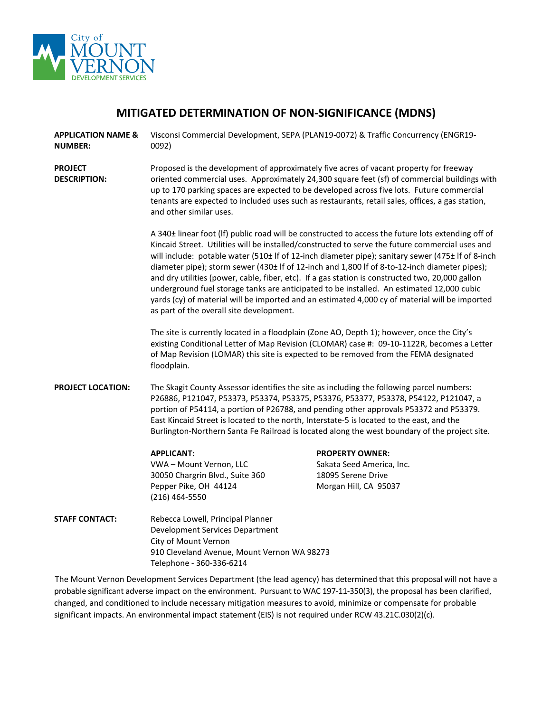

# **MITIGATED DETERMINATION OF NON-SIGNIFICANCE (MDNS)**

- **APPLICATION NAME & NUMBER:** Visconsi Commercial Development, SEPA (PLAN19-0072) & Traffic Concurrency (ENGR19- 0092)
- **PROJECT DESCRIPTION:** Proposed is the development of approximately five acres of vacant property for freeway oriented commercial uses. Approximately 24,300 square feet (sf) of commercial buildings with up to 170 parking spaces are expected to be developed across five lots. Future commercial tenants are expected to included uses such as restaurants, retail sales, offices, a gas station, and other similar uses.

A 340± linear foot (lf) public road will be constructed to access the future lots extending off of Kincaid Street. Utilities will be installed/constructed to serve the future commercial uses and will include: potable water (510± lf of 12-inch diameter pipe); sanitary sewer (475± lf of 8-inch diameter pipe); storm sewer (430± lf of 12-inch and 1,800 lf of 8-to-12-inch diameter pipes); and dry utilities (power, cable, fiber, etc). If a gas station is constructed two, 20,000 gallon underground fuel storage tanks are anticipated to be installed. An estimated 12,000 cubic yards (cy) of material will be imported and an estimated 4,000 cy of material will be imported as part of the overall site development.

The site is currently located in a floodplain (Zone AO, Depth 1); however, once the City's existing Conditional Letter of Map Revision (CLOMAR) case #: 09-10-1122R, becomes a Letter of Map Revision (LOMAR) this site is expected to be removed from the FEMA designated floodplain.

**PROJECT LOCATION:** The Skagit County Assessor identifies the site as including the following parcel numbers: P26886, P121047, P53373, P53374, P53375, P53376, P53377, P53378, P54122, P121047, a portion of P54114, a portion of P26788, and pending other approvals P53372 and P53379. East Kincaid Street is located to the north, Interstate-5 is located to the east, and the Burlington-Northern Santa Fe Railroad is located along the west boundary of the project site.

VWA – Mount Vernon, LLC Sakata Seed America, Inc. 30050 Chargrin Blvd., Suite 360 18095 Serene Drive Pepper Pike, OH 44124 Morgan Hill, CA 95037 (216) 464-5550

**APPLICANT: PROPERTY OWNER:**

**STAFF CONTACT:** Rebecca Lowell, Principal Planner Development Services Department City of Mount Vernon 910 Cleveland Avenue, Mount Vernon WA 98273 Telephone - 360-336-6214

The Mount Vernon Development Services Department (the lead agency) has determined that this proposal will not have a probable significant adverse impact on the environment. Pursuant to WAC 197-11-350(3), the proposal has been clarified, changed, and conditioned to include necessary mitigation measures to avoid, minimize or compensate for probable significant impacts. An environmental impact statement (EIS) is not required under RCW 43.21C.030(2)(c).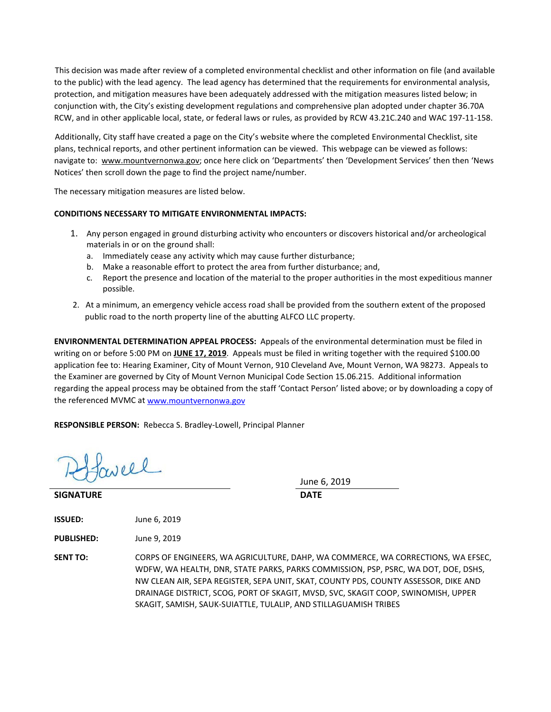This decision was made after review of a completed environmental checklist and other information on file (and available to the public) with the lead agency. The lead agency has determined that the requirements for environmental analysis, protection, and mitigation measures have been adequately addressed with the mitigation measures listed below; in conjunction with, the City's existing development regulations and comprehensive plan adopted under chapter 36.70A RCW, and in other applicable local, state, or federal laws or rules, as provided by RCW 43.21C.240 and WAC 197-11-158.

Additionally, City staff have created a page on the City's website where the completed Environmental Checklist, site plans, technical reports, and other pertinent information can be viewed. This webpage can be viewed as follows: navigate to: [www.mountvernonwa.gov;](http://www.mountvernonwa.gov/) once here click on 'Departments' then 'Development Services' then then 'News Notices' then scroll down the page to find the project name/number.

The necessary mitigation measures are listed below.

#### **CONDITIONS NECESSARY TO MITIGATE ENVIRONMENTAL IMPACTS:**

- 1. Any person engaged in ground disturbing activity who encounters or discovers historical and/or archeological materials in or on the ground shall:
	- a. Immediately cease any activity which may cause further disturbance;
	- b. Make a reasonable effort to protect the area from further disturbance; and,
	- c. Report the presence and location of the material to the proper authorities in the most expeditious manner possible.
- 2. At a minimum, an emergency vehicle access road shall be provided from the southern extent of the proposed public road to the north property line of the abutting ALFCO LLC property.

**ENVIRONMENTAL DETERMINATION APPEAL PROCESS:** Appeals of the environmental determination must be filed in writing on or before 5:00 PM on **JUNE 17, 2019**. Appeals must be filed in writing together with the required \$100.00 application fee to: Hearing Examiner, City of Mount Vernon, 910 Cleveland Ave, Mount Vernon, WA 98273. Appeals to the Examiner are governed by City of Mount Vernon Municipal Code Section 15.06.215. Additional information regarding the appeal process may be obtained from the staff 'Contact Person' listed above; or by downloading a copy of the referenced MVMC at [www.mountvernonwa.gov](http://www.mountvernonwa.gov/) 

**RESPONSIBLE PERSON:** Rebecca S. Bradley-Lowell, Principal Planner

faveel

**SIGNATURE DATE**

June 6, 2019

**ISSUED:** June 6, 2019

**PUBLISHED:** June 9, 2019

**SENT TO:** CORPS OF ENGINEERS, WA AGRICULTURE, DAHP, WA COMMERCE, WA CORRECTIONS, WA EFSEC, WDFW, WA HEALTH, DNR, STATE PARKS, PARKS COMMISSION, PSP, PSRC, WA DOT, DOE, DSHS, NW CLEAN AIR, SEPA REGISTER, SEPA UNIT, SKAT, COUNTY PDS, COUNTY ASSESSOR, DIKE AND DRAINAGE DISTRICT, SCOG, PORT OF SKAGIT, MVSD, SVC, SKAGIT COOP, SWINOMISH, UPPER SKAGIT, SAMISH, SAUK-SUIATTLE, TULALIP, AND STILLAGUAMISH TRIBES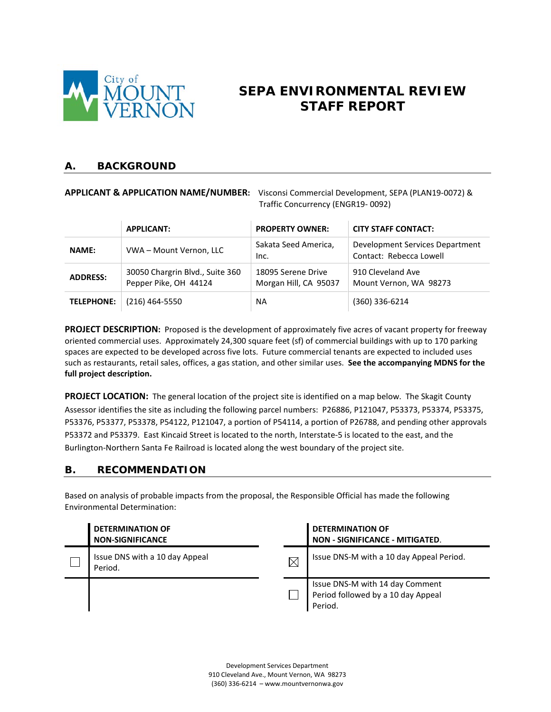

# **SEPA ENVIRONMENTAL REVIEW STAFF REPORT**

### **A. BACKGROUND**

**APPLICANT & APPLICATION NAME/NUMBER:** Visconsi Commercial Development, SEPA (PLAN19-0072) & Traffic Concurrency (ENGR19- 0092)

|                                                                             | <b>APPLICANT:</b>                                       | <b>PROPERTY OWNER:</b>                      | <b>CITY STAFF CONTACT:</b>                                 |
|-----------------------------------------------------------------------------|---------------------------------------------------------|---------------------------------------------|------------------------------------------------------------|
| <b>NAME:</b>                                                                | Sakata Seed America,<br>VWA - Mount Vernon, LLC<br>Inc. |                                             | Development Services Department<br>Contact: Rebecca Lowell |
| 30050 Chargrin Blvd., Suite 360<br><b>ADDRESS:</b><br>Pepper Pike, OH 44124 |                                                         | 18095 Serene Drive<br>Morgan Hill, CA 95037 | 910 Cleveland Ave<br>Mount Vernon, WA 98273                |
| <b>TELEPHONE:</b>                                                           | $(216)$ 464-5550                                        | <b>NA</b>                                   | $(360)$ 336-6214                                           |

**PROJECT DESCRIPTION:** Proposed is the development of approximately five acres of vacant property for freeway oriented commercial uses. Approximately 24,300 square feet (sf) of commercial buildings with up to 170 parking spaces are expected to be developed across five lots. Future commercial tenants are expected to included uses such as restaurants, retail sales, offices, a gas station, and other similar uses. **See the accompanying MDNS for the full project description.** 

**PROJECT LOCATION:** The general location of the project site is identified on a map below. The Skagit County Assessor identifies the site as including the following parcel numbers: P26886, P121047, P53373, P53374, P53375, P53376, P53377, P53378, P54122, P121047, a portion of P54114, a portion of P26788, and pending other approvals P53372 and P53379. East Kincaid Street is located to the north, Interstate-5 is located to the east, and the Burlington-Northern Santa Fe Railroad is located along the west boundary of the project site.

# **B. RECOMMENDATION**

Based on analysis of probable impacts from the proposal, the Responsible Official has made the following Environmental Determination:

| <b>DETERMINATION OF</b><br><b>NON-SIGNIFICANCE</b> |             | <b>DETERMINATION OF</b><br><b>NON - SIGNIFICANCE - MITIGATED.</b>                |
|----------------------------------------------------|-------------|----------------------------------------------------------------------------------|
| Issue DNS with a 10 day Appeal<br>Period.          | $\boxtimes$ | Issue DNS-M with a 10 day Appeal Period.                                         |
|                                                    |             | Issue DNS-M with 14 day Comment<br>Period followed by a 10 day Appeal<br>Period. |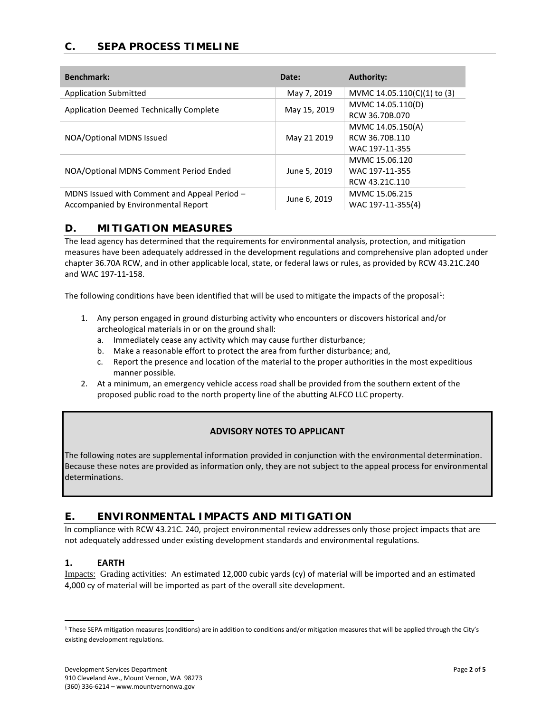# **C. SEPA PROCESS TIMELINE**

| <b>Benchmark:</b>                            | Date:        | <b>Authority:</b>           |
|----------------------------------------------|--------------|-----------------------------|
| <b>Application Submitted</b>                 | May 7, 2019  | MVMC 14.05.110(C)(1) to (3) |
| Application Deemed Technically Complete      | May 15, 2019 | MVMC 14.05.110(D)           |
|                                              |              | RCW 36.70B.070              |
|                                              | May 21 2019  | MVMC 14.05.150(A)           |
| NOA/Optional MDNS Issued                     |              | RCW 36.70B.110              |
|                                              |              | WAC 197-11-355              |
|                                              | June 5, 2019 | MVMC 15.06.120              |
| NOA/Optional MDNS Comment Period Ended       |              | WAC 197-11-355              |
|                                              |              | RCW 43.21C.110              |
| MDNS Issued with Comment and Appeal Period - |              | MVMC 15.06.215              |
| Accompanied by Environmental Report          | June 6, 2019 | WAC 197-11-355(4)           |

#### **D. MITIGATION MEASURES**

The lead agency has determined that the requirements for environmental analysis, protection, and mitigation measures have been adequately addressed in the development regulations and comprehensive plan adopted under chapter 36.70A RCW, and in other applicable local, state, or federal laws or rules, as provided by RCW 43.21C.240 and WAC 197-11-158.

The following conditions have been identified that will be used to mitigate the impacts of the proposal<sup>[1](#page-3-0)</sup>:

- 1. Any person engaged in ground disturbing activity who encounters or discovers historical and/or archeological materials in or on the ground shall:
	- a. Immediately cease any activity which may cause further disturbance;
	- b. Make a reasonable effort to protect the area from further disturbance; and,
	- c. Report the presence and location of the material to the proper authorities in the most expeditious manner possible.
- 2. At a minimum, an emergency vehicle access road shall be provided from the southern extent of the proposed public road to the north property line of the abutting ALFCO LLC property.

#### **ADVISORY NOTES TO APPLICANT**

The following notes are supplemental information provided in conjunction with the environmental determination. Because these notes are provided as information only, they are not subject to the appeal process for environmental determinations.

# **E. ENVIRONMENTAL IMPACTS AND MITIGATION**

In compliance with RCW 43.21C. 240, project environmental review addresses only those project impacts that are not adequately addressed under existing development standards and environmental regulations.

#### **1. EARTH**

Impacts: Grading activities: An estimated 12,000 cubic yards (cy) of material will be imported and an estimated 4,000 cy of material will be imported as part of the overall site development.

<span id="page-3-0"></span><sup>&</sup>lt;sup>1</sup> These SEPA mitigation measures (conditions) are in addition to conditions and/or mitigation measures that will be applied through the City's existing development regulations.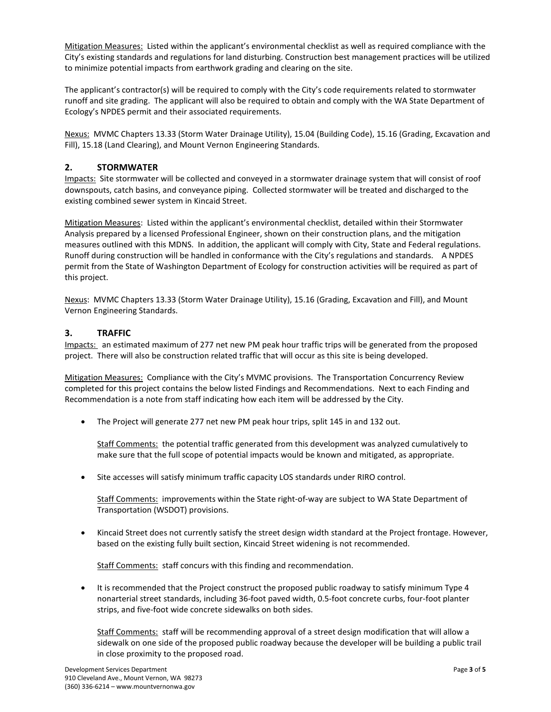Mitigation Measures: Listed within the applicant's environmental checklist as well as required compliance with the City's existing standards and regulations for land disturbing. Construction best management practices will be utilized to minimize potential impacts from earthwork grading and clearing on the site.

The applicant's contractor(s) will be required to comply with the City's code requirements related to stormwater runoff and site grading. The applicant will also be required to obtain and comply with the WA State Department of Ecology's NPDES permit and their associated requirements.

Nexus: MVMC Chapters 13.33 (Storm Water Drainage Utility), 15.04 (Building Code), 15.16 (Grading, Excavation and Fill), 15.18 (Land Clearing), and Mount Vernon Engineering Standards.

#### **2. STORMWATER**

Impacts: Site stormwater will be collected and conveyed in a stormwater drainage system that will consist of roof downspouts, catch basins, and conveyance piping. Collected stormwater will be treated and discharged to the existing combined sewer system in Kincaid Street.

Mitigation Measures: Listed within the applicant's environmental checklist, detailed within their Stormwater Analysis prepared by a licensed Professional Engineer, shown on their construction plans, and the mitigation measures outlined with this MDNS. In addition, the applicant will comply with City, State and Federal regulations. Runoff during construction will be handled in conformance with the City's regulations and standards. A NPDES permit from the State of Washington Department of Ecology for construction activities will be required as part of this project.

Nexus: MVMC Chapters 13.33 (Storm Water Drainage Utility), 15.16 (Grading, Excavation and Fill), and Mount Vernon Engineering Standards.

#### **3. TRAFFIC**

Impacts: an estimated maximum of 277 net new PM peak hour traffic trips will be generated from the proposed project. There will also be construction related traffic that will occur as this site is being developed.

Mitigation Measures: Compliance with the City's MVMC provisions. The Transportation Concurrency Review completed for this project contains the below listed Findings and Recommendations. Next to each Finding and Recommendation is a note from staff indicating how each item will be addressed by the City.

• The Project will generate 277 net new PM peak hour trips, split 145 in and 132 out.

Staff Comments: the potential traffic generated from this development was analyzed cumulatively to make sure that the full scope of potential impacts would be known and mitigated, as appropriate.

• Site accesses will satisfy minimum traffic capacity LOS standards under RIRO control.

Staff Comments: improvements within the State right-of-way are subject to WA State Department of Transportation (WSDOT) provisions.

• Kincaid Street does not currently satisfy the street design width standard at the Project frontage. However, based on the existing fully built section, Kincaid Street widening is not recommended.

Staff Comments: staff concurs with this finding and recommendation.

• It is recommended that the Project construct the proposed public roadway to satisfy minimum Type 4 nonarterial street standards, including 36-foot paved width, 0.5-foot concrete curbs, four-foot planter strips, and five-foot wide concrete sidewalks on both sides.

Staff Comments: staff will be recommending approval of a street design modification that will allow a sidewalk on one side of the proposed public roadway because the developer will be building a public trail in close proximity to the proposed road.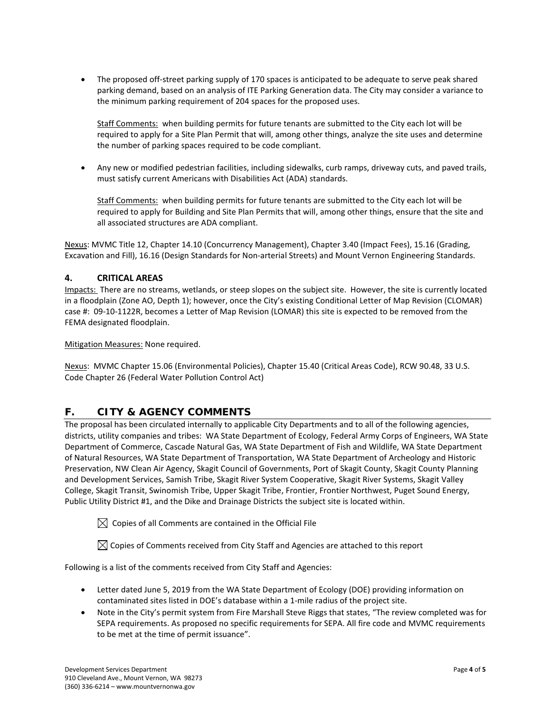• The proposed off-street parking supply of 170 spaces is anticipated to be adequate to serve peak shared parking demand, based on an analysis of ITE Parking Generation data. The City may consider a variance to the minimum parking requirement of 204 spaces for the proposed uses.

Staff Comments: when building permits for future tenants are submitted to the City each lot will be required to apply for a Site Plan Permit that will, among other things, analyze the site uses and determine the number of parking spaces required to be code compliant.

• Any new or modified pedestrian facilities, including sidewalks, curb ramps, driveway cuts, and paved trails, must satisfy current Americans with Disabilities Act (ADA) standards.

Staff Comments: when building permits for future tenants are submitted to the City each lot will be required to apply for Building and Site Plan Permits that will, among other things, ensure that the site and all associated structures are ADA compliant.

Nexus: MVMC Title 12, Chapter 14.10 (Concurrency Management), Chapter 3.40 (Impact Fees), 15.16 (Grading, Excavation and Fill), 16.16 (Design Standards for Non-arterial Streets) and Mount Vernon Engineering Standards.

#### **4. CRITICAL AREAS**

Impacts: There are no streams, wetlands, or steep slopes on the subject site. However, the site is currently located in a floodplain (Zone AO, Depth 1); however, once the City's existing Conditional Letter of Map Revision (CLOMAR) case #: 09-10-1122R, becomes a Letter of Map Revision (LOMAR) this site is expected to be removed from the FEMA designated floodplain.

Mitigation Measures: None required.

Nexus: MVMC Chapter 15.06 (Environmental Policies), Chapter 15.40 (Critical Areas Code), RCW 90.48, 33 U.S. Code Chapter 26 (Federal Water Pollution Control Act)

# **F. CITY & AGENCY COMMENTS**

The proposal has been circulated internally to applicable City Departments and to all of the following agencies, districts, utility companies and tribes: WA State Department of Ecology, Federal Army Corps of Engineers, WA State Department of Commerce, Cascade Natural Gas, WA State Department of Fish and Wildlife, WA State Department of Natural Resources, WA State Department of Transportation, WA State Department of Archeology and Historic Preservation, NW Clean Air Agency, Skagit Council of Governments, Port of Skagit County, Skagit County Planning and Development Services, Samish Tribe, Skagit River System Cooperative, Skagit River Systems, Skagit Valley College, Skagit Transit, Swinomish Tribe, Upper Skagit Tribe, Frontier, Frontier Northwest, Puget Sound Energy, Public Utility District #1, and the Dike and Drainage Districts the subject site is located within.

 $\boxtimes$  Copies of all Comments are contained in the Official File

 $\boxtimes$  Copies of Comments received from City Staff and Agencies are attached to this report

Following is a list of the comments received from City Staff and Agencies:

- Letter dated June 5, 2019 from the WA State Department of Ecology (DOE) providing information on contaminated sites listed in DOE's database within a 1-mile radius of the project site.
- Note in the City's permit system from Fire Marshall Steve Riggs that states, "The review completed was for SEPA requirements. As proposed no specific requirements for SEPA. All fire code and MVMC requirements to be met at the time of permit issuance".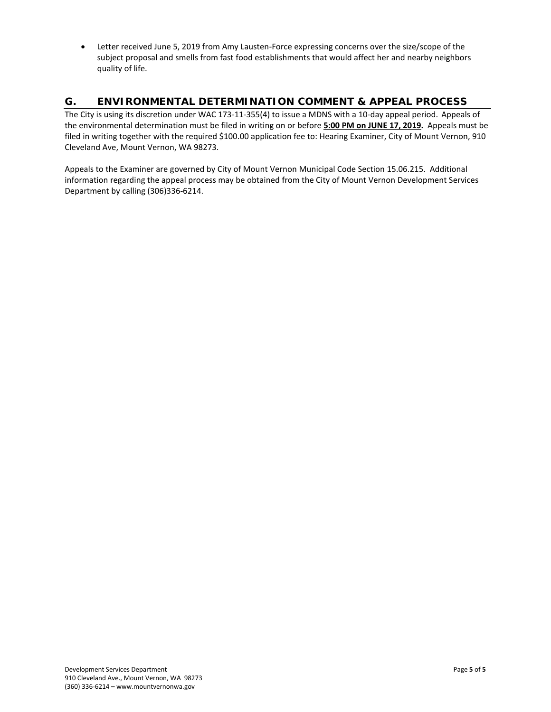• Letter received June 5, 2019 from Amy Lausten-Force expressing concerns over the size/scope of the subject proposal and smells from fast food establishments that would affect her and nearby neighbors quality of life.

# **G. ENVIRONMENTAL DETERMINATION COMMENT & APPEAL PROCESS**

The City is using its discretion under WAC 173-11-355(4) to issue a MDNS with a 10-day appeal period.Appeals of the environmental determination must be filed in writing on or before **5:00 PM on JUNE 17, 2019.** Appeals must be filed in writing together with the required \$100.00 application fee to: Hearing Examiner, City of Mount Vernon, 910 Cleveland Ave, Mount Vernon, WA 98273.

Appeals to the Examiner are governed by City of Mount Vernon Municipal Code Section 15.06.215. Additional information regarding the appeal process may be obtained from the City of Mount Vernon Development Services Department by calling (306)336-6214.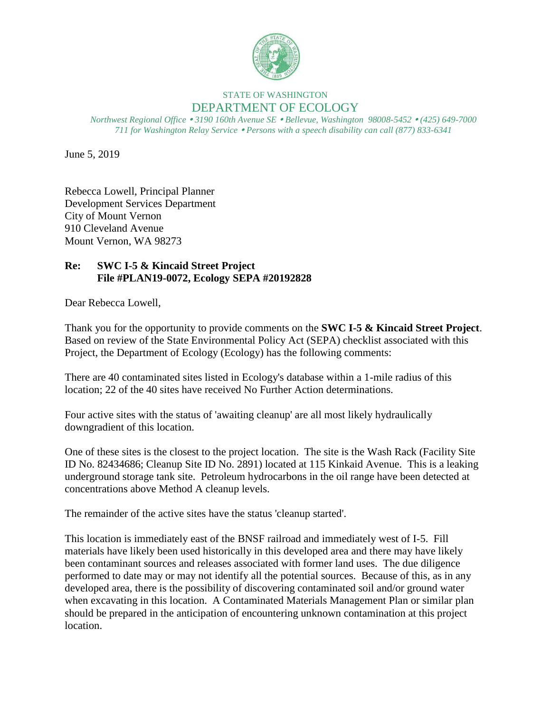

# STATE OF WASHINGTON DEPARTMENT OF ECOLOGY

*Northwest Regional Office 3190 160th Avenue SE Bellevue, Washington 98008-5452 (425) 649-7000 711 for Washington Relay Service Persons with a speech disability can call (877) 833-6341*

June 5, 2019

Rebecca Lowell, Principal Planner Development Services Department City of Mount Vernon 910 Cleveland Avenue Mount Vernon, WA 98273

# **Re: SWC I-5 & Kincaid Street Project File #PLAN19-0072, Ecology SEPA #20192828**

Dear Rebecca Lowell,

Thank you for the opportunity to provide comments on the **SWC I-5 & Kincaid Street Project**. Based on review of the State Environmental Policy Act (SEPA) checklist associated with this Project, the Department of Ecology (Ecology) has the following comments:

There are 40 contaminated sites listed in Ecology's database within a 1-mile radius of this location; 22 of the 40 sites have received No Further Action determinations.

Four active sites with the status of 'awaiting cleanup' are all most likely hydraulically downgradient of this location.

One of these sites is the closest to the project location. The site is the Wash Rack (Facility Site ID No. 82434686; Cleanup Site ID No. 2891) located at 115 Kinkaid Avenue. This is a leaking underground storage tank site. Petroleum hydrocarbons in the oil range have been detected at concentrations above Method A cleanup levels.

The remainder of the active sites have the status 'cleanup started'.

This location is immediately east of the BNSF railroad and immediately west of I-5. Fill materials have likely been used historically in this developed area and there may have likely been contaminant sources and releases associated with former land uses. The due diligence performed to date may or may not identify all the potential sources. Because of this, as in any developed area, there is the possibility of discovering contaminated soil and/or ground water when excavating in this location. A Contaminated Materials Management Plan or similar plan should be prepared in the anticipation of encountering unknown contamination at this project location.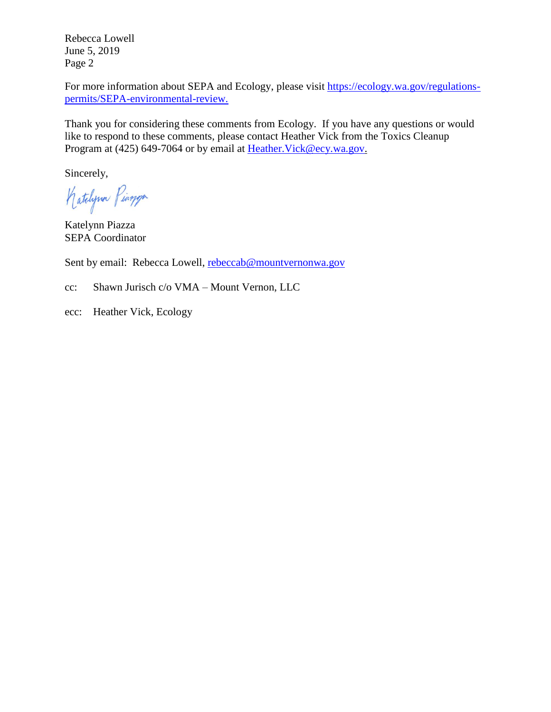Rebecca Lowell June 5, 2019 Page 2

For more information about SEPA and Ecology, please visit [https://ecology.wa.gov/regulations](https://ecology.wa.gov/regulations-permits/SEPA-environmental-review)[permits/SEPA-environmental-review.](https://ecology.wa.gov/regulations-permits/SEPA-environmental-review)

Thank you for considering these comments from Ecology. If you have any questions or would like to respond to these comments, please contact Heather Vick from the Toxics Cleanup Program at (425) 649-7064 or by email at Heather. Vick@ecy.wa.gov.

Sincerely,

Katchpon Pingpa

Katelynn Piazza SEPA Coordinator

Sent by email: Rebecca Lowell, [rebeccab@mountvernonwa.gov](mailto:rebeccab@mountvernonwa.gov)

cc: Shawn Jurisch c/o VMA – Mount Vernon, LLC

ecc: Heather Vick, Ecology